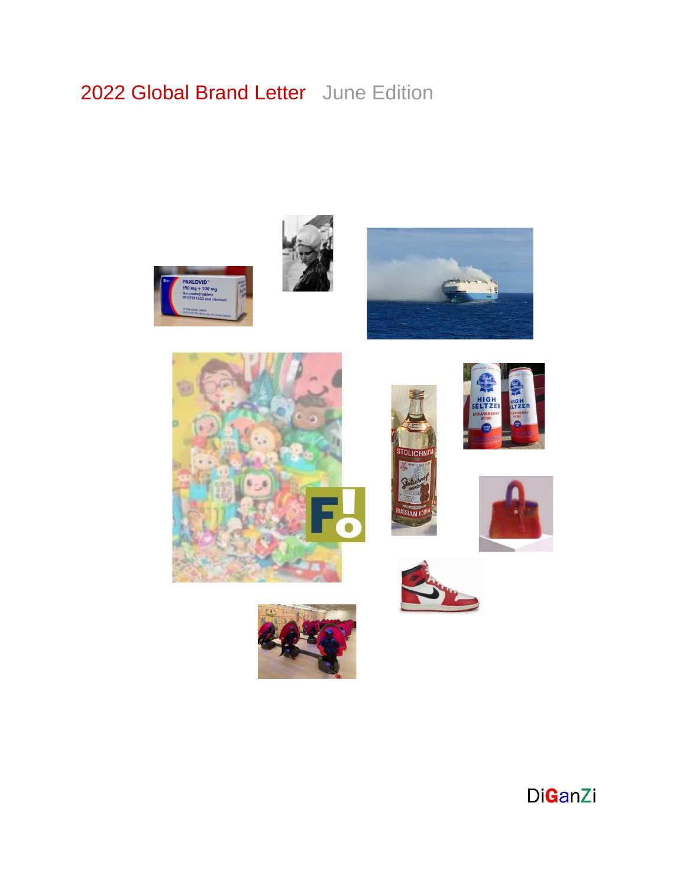# 2022 Global Brand Letter June Edition



















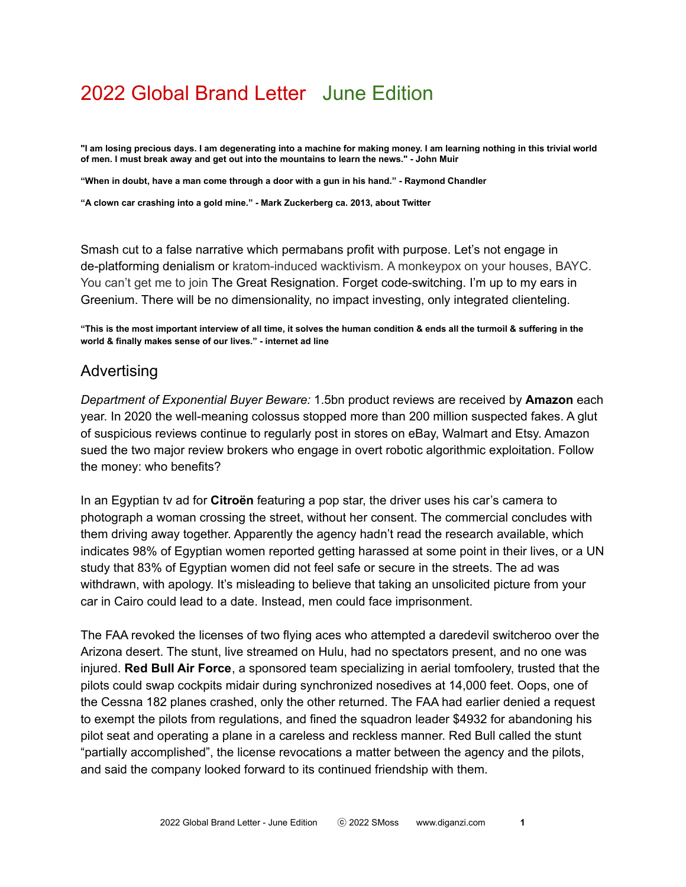# 2022 Global Brand Letter June Edition

"I am losing precious days. I am degenerating into a machine for making money. I am learning nothing in this trivial world **of men. I must break away and get out into the mountains to learn the news." - John Muir**

**"When in doubt, have a man come through a door with a gun in his hand." - Raymond Chandler**

**"A clown car crashing into a gold mine." - Mark Zuckerberg ca. 2013, about Twitter**

Smash cut to a false narrative which permabans profit with purpose. Let's not engage in de-platforming denialism or kratom-induced wacktivism. A monkeypox on your houses, BAYC. You can't get me to join The Great Resignation. Forget code-switching. I'm up to my ears in Greenium. There will be no dimensionality, no impact investing, only integrated clienteling.

"This is the most important interview of all time, it solves the human condition & ends all the turmoil & suffering in the **world & finally makes sense of our lives." - internet ad line**

### Advertising

*Department of Exponential Buyer Beware:* 1.5bn product reviews are received by **Amazon** each year. In 2020 the well-meaning colossus stopped more than 200 million suspected fakes. A glut of suspicious reviews continue to regularly post in stores on eBay, Walmart and Etsy. Amazon sued the two major review brokers who engage in overt robotic algorithmic exploitation. Follow the money: who benefits?

In an Egyptian tv ad for **Citroën** featuring a pop star, the driver uses his car's camera to photograph a woman crossing the street, without her consent. The commercial concludes with them driving away together. Apparently the agency hadn't read the research available, which indicates 98% of Egyptian women reported getting harassed at some point in their lives, or a UN study that 83% of Egyptian women did not feel safe or secure in the streets. The ad was withdrawn, with apology. It's misleading to believe that taking an unsolicited picture from your car in Cairo could lead to a date. Instead, men could face imprisonment.

The FAA revoked the licenses of two flying aces who attempted a daredevil switcheroo over the Arizona desert. The stunt, live streamed on Hulu, had no spectators present, and no one was injured. **Red Bull Air Force**, a sponsored team specializing in aerial tomfoolery, trusted that the pilots could swap cockpits midair during synchronized nosedives at 14,000 feet. Oops, one of the Cessna 182 planes crashed, only the other returned. The FAA had earlier denied a request to exempt the pilots from regulations, and fined the squadron leader \$4932 for abandoning his pilot seat and operating a plane in a careless and reckless manner. Red Bull called the stunt "partially accomplished", the license revocations a matter between the agency and the pilots, and said the company looked forward to its continued friendship with them.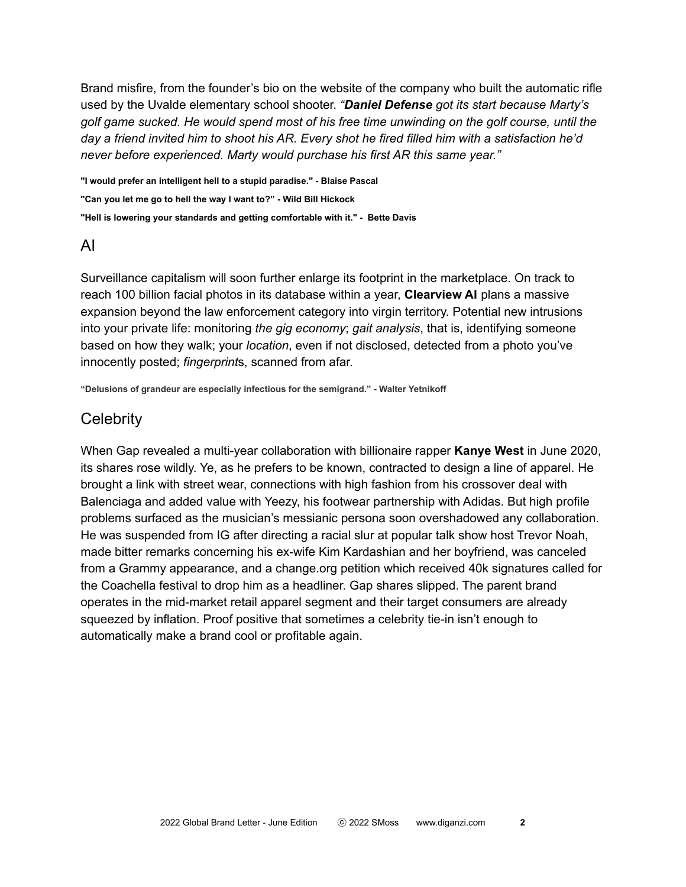Brand misfire, from the founder's bio on the website of the company who built the automatic rifle used by the Uvalde elementary school shooter. *"Daniel Defense got its start because Marty's golf game sucked. He would spend most of his free time unwinding on the golf course, until the* day a friend invited him to shoot his AR. Every shot he fired filled him with a satisfaction he'd *never before experienced. Marty would purchase his first AR this same year."*

**"I would prefer an intelligent hell to a stupid paradise." - Blaise Pascal "Can you let me go to hell the way I want to?" - Wild Bill Hickock "Hell is lowering your standards and getting comfortable with it." - Bette Davis**

# AI

Surveillance capitalism will soon further enlarge its footprint in the marketplace. On track to reach 100 billion facial photos in its database within a year, **Clearview AI** plans a massive expansion beyond the law enforcement category into virgin territory. Potential new intrusions into your private life: monitoring *the gig economy*; *gait analysis*, that is, identifying someone based on how they walk; your *location*, even if not disclosed, detected from a photo you've innocently posted; *fingerprint*s, scanned from afar.

**"Delusions of grandeur are especially infectious for the semigrand." - Walter Yetnikoff**

# **Celebrity**

When Gap revealed a multi-year collaboration with billionaire rapper **Kanye West** in June 2020, its shares rose wildly. Ye, as he prefers to be known, contracted to design a line of apparel. He brought a link with street wear, connections with high fashion from his crossover deal with Balenciaga and added value with Yeezy, his footwear partnership with Adidas. But high profile problems surfaced as the musician's messianic persona soon overshadowed any collaboration. He was suspended from IG after directing a racial slur at popular talk show host Trevor Noah, made bitter remarks concerning his ex-wife Kim Kardashian and her boyfriend, was canceled from a Grammy appearance, and a change.org petition which received 40k signatures called for the Coachella festival to drop him as a headliner. Gap shares slipped. The parent brand operates in the mid-market retail apparel segment and their target consumers are already squeezed by inflation. Proof positive that sometimes a celebrity tie-in isn't enough to automatically make a brand cool or profitable again.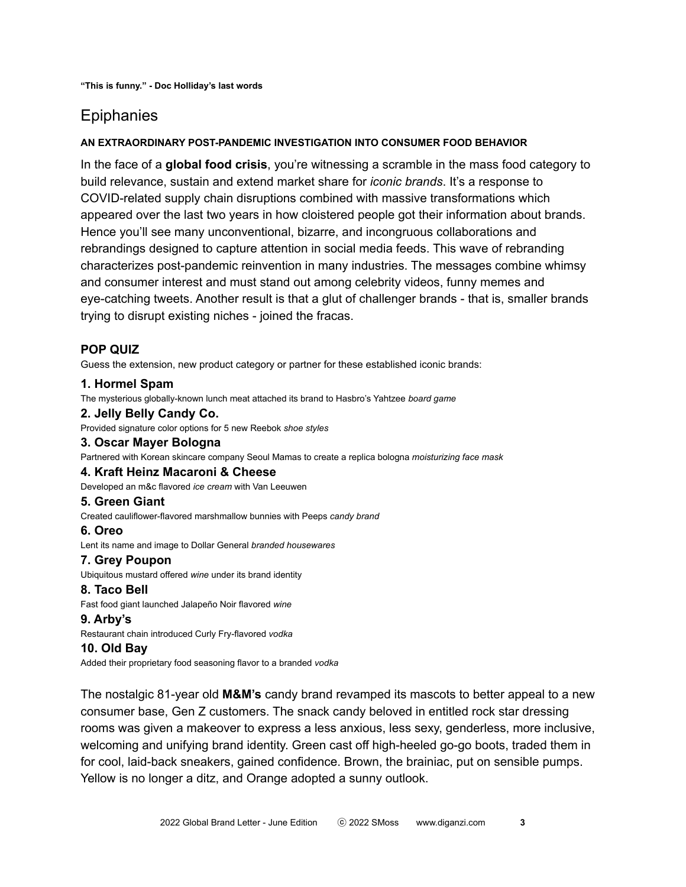# **Epiphanies**

#### **AN EXTRAORDINARY POST-PANDEMIC INVESTIGATION INTO CONSUMER FOOD BEHAVIOR**

In the face of a **global food crisis**, you're witnessing a scramble in the mass food category to build relevance, sustain and extend market share for *iconic brands*. It's a response to COVID-related supply chain disruptions combined with massive transformations which appeared over the last two years in how cloistered people got their information about brands. Hence you'll see many unconventional, bizarre, and incongruous collaborations and rebrandings designed to capture attention in social media feeds. This wave of rebranding characterizes post-pandemic reinvention in many industries. The messages combine whimsy and consumer interest and must stand out among celebrity videos, funny memes and eye-catching tweets. Another result is that a glut of challenger brands - that is, smaller brands trying to disrupt existing niches - joined the fracas.

### **POP QUIZ**

Guess the extension, new product category or partner for these established iconic brands:

#### **1. Hormel Spam**

The mysterious globally-known lunch meat attached its brand to Hasbro's Yahtzee *board game*

#### **2. Jelly Belly Candy Co.**

Provided signature color options for 5 new Reebok *shoe styles*

#### **3. Oscar Mayer Bologna**

Partnered with Korean skincare company Seoul Mamas to create a replica bologna *moisturizing face mask*

#### **4. Kraft Heinz Macaroni & Cheese**

Developed an m&c flavored *ice cream* with Van Leeuwen

#### **5. Green Giant**

Created cauliflower-flavored marshmallow bunnies with Peeps *candy brand*

#### **6. Oreo**

Lent its name and image to Dollar General *branded housewares*

#### **7. Grey Poupon**

Ubiquitous mustard offered *wine* under its brand identity

#### **8. Taco Bell**

Fast food giant launched Jalapeño Noir flavored *wine*

#### **9. Arby's**

Restaurant chain introduced Curly Fry-flavored *vodka*

#### **10. Old Bay**

Added their proprietary food seasoning flavor to a branded *vodka*

The nostalgic 81-year old **M&M's** candy brand revamped its mascots to better appeal to a new consumer base, Gen Z customers. The snack candy beloved in entitled rock star dressing rooms was given a makeover to express a less anxious, less sexy, genderless, more inclusive, welcoming and unifying brand identity. Green cast off high-heeled go-go boots, traded them in for cool, laid-back sneakers, gained confidence. Brown, the brainiac, put on sensible pumps. Yellow is no longer a ditz, and Orange adopted a sunny outlook.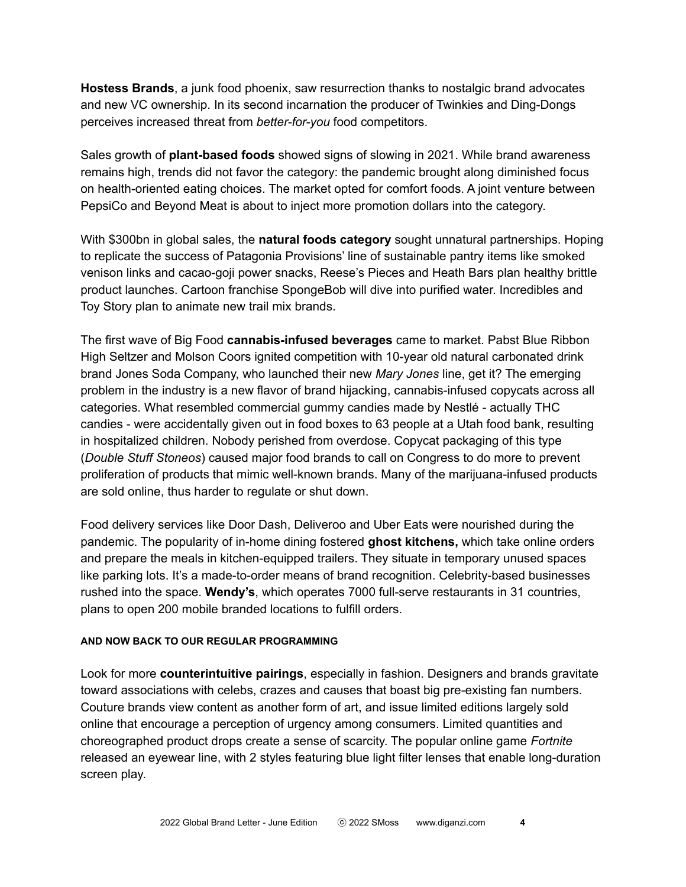**Hostess Brands**, a junk food phoenix, saw resurrection thanks to nostalgic brand advocates and new VC ownership. In its second incarnation the producer of Twinkies and Ding-Dongs perceives increased threat from *better-for-you* food competitors.

Sales growth of **plant-based foods** showed signs of slowing in 2021. While brand awareness remains high, trends did not favor the category: the pandemic brought along diminished focus on health-oriented eating choices. The market opted for comfort foods. A joint venture between PepsiCo and Beyond Meat is about to inject more promotion dollars into the category.

With \$300bn in global sales, the **natural foods category** sought unnatural partnerships. Hoping to replicate the success of Patagonia Provisions' line of sustainable pantry items like smoked venison links and cacao-goji power snacks, Reese's Pieces and Heath Bars plan healthy brittle product launches. Cartoon franchise SpongeBob will dive into purified water. Incredibles and Toy Story plan to animate new trail mix brands.

The first wave of Big Food **cannabis-infused beverages** came to market. Pabst Blue Ribbon High Seltzer and Molson Coors ignited competition with 10-year old natural carbonated drink brand Jones Soda Company, who launched their new *Mary Jones* line, get it? The emerging problem in the industry is a new flavor of brand hijacking, cannabis-infused copycats across all categories. What resembled commercial gummy candies made by Nestlé - actually THC candies - were accidentally given out in food boxes to 63 people at a Utah food bank, resulting in hospitalized children. Nobody perished from overdose. Copycat packaging of this type (*Double Stuff Stoneos*) caused major food brands to call on Congress to do more to prevent proliferation of products that mimic well-known brands. Many of the marijuana-infused products are sold online, thus harder to regulate or shut down.

Food delivery services like Door Dash, Deliveroo and Uber Eats were nourished during the pandemic. The popularity of in-home dining fostered **ghost kitchens,** which take online orders and prepare the meals in kitchen-equipped trailers. They situate in temporary unused spaces like parking lots. It's a made-to-order means of brand recognition. Celebrity-based businesses rushed into the space. **Wendy's**, which operates 7000 full-serve restaurants in 31 countries, plans to open 200 mobile branded locations to fulfill orders.

#### **AND NOW BACK TO OUR REGULAR PROGRAMMING**

Look for more **counterintuitive pairings**, especially in fashion. Designers and brands gravitate toward associations with celebs, crazes and causes that boast big pre-existing fan numbers. Couture brands view content as another form of art, and issue limited editions largely sold online that encourage a perception of urgency among consumers. Limited quantities and choreographed product drops create a sense of scarcity. The popular online game *Fortnite* released an eyewear line, with 2 styles featuring blue light filter lenses that enable long-duration screen play.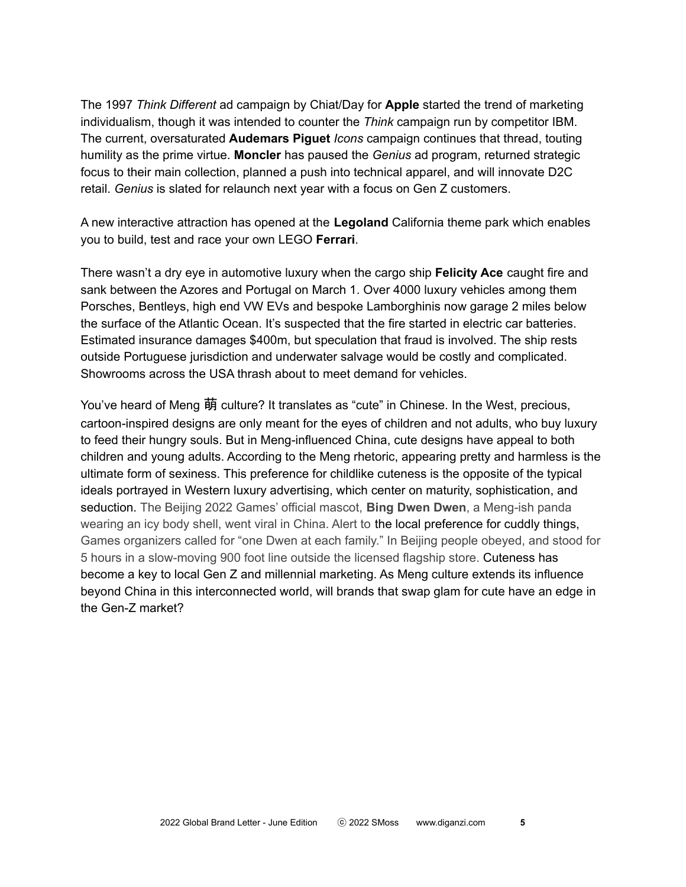The 1997 *Think Different* ad campaign by Chiat/Day for **Apple** started the trend of marketing individualism, though it was intended to counter the *Think* campaign run by competitor IBM. The current, oversaturated **Audemars Piguet** *Icons* campaign continues that thread, touting humility as the prime virtue. **Moncler** has paused the *Genius* ad program, returned strategic focus to their main collection, planned a push into technical apparel, and will innovate D2C retail. *Genius* is slated for relaunch next year with a focus on Gen Z customers.

A new interactive attraction has opened at the **Legoland** California theme park which enables you to build, test and race your own LEGO **Ferrari**.

There wasn't a dry eye in automotive luxury when the cargo ship **Felicity Ace** caught fire and sank between the Azores and Portugal on March 1. Over 4000 luxury vehicles among them Porsches, Bentleys, high end VW EVs and bespoke Lamborghinis now garage 2 miles below the surface of the Atlantic Ocean. It's suspected that the fire started in electric car batteries. Estimated insurance damages \$400m, but speculation that fraud is involved. The ship rests outside Portuguese jurisdiction and underwater salvage would be costly and complicated. Showrooms across the USA thrash about to meet demand for vehicles.

You've heard of Meng 萌 culture? It translates as "cute" in Chinese. In the West, precious, cartoon-inspired designs are only meant for the eyes of children and not adults, who buy luxury to feed their hungry souls. But in Meng-influenced China, cute designs have appeal to both children and young adults. According to the Meng rhetoric, appearing pretty and harmless is the ultimate form of sexiness. This preference for childlike cuteness is the opposite of the typical ideals portrayed in Western luxury advertising, which center on maturity, sophistication, and seduction. The Beijing 2022 Games' official mascot, **Bing Dwen Dwen**, a Meng-ish panda wearing an icy body shell, went viral in China. Alert to the local preference for cuddly things, Games organizers called for "one Dwen at each family." In Beijing people obeyed, and stood for 5 hours in a slow-moving 900 foot line outside the licensed flagship store. Cuteness has become a key to local Gen Z and millennial marketing. As Meng culture extends its influence beyond China in this interconnected world, will brands that swap glam for cute have an edge in the Gen-Z market?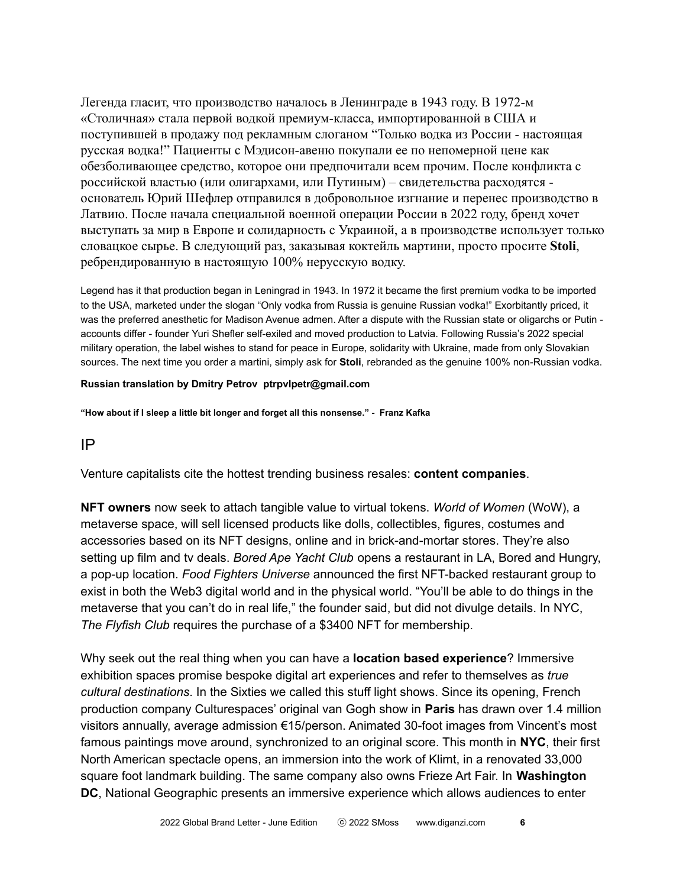Легенда гласит, что производство началось в Ленинграде в 1943 году. В 1972-м «Столичная» стала первой водкой премиум-класса, импортированной в США и поступившей в продажу под рекламным слоганом "Только водка из России - настоящая русская водка!" Пациенты с Мэдисон-авеню покупали ее по непомерной цене как обезболивающее средство, которое они предпочитали всем прочим. После конфликта с российской властью (или олигархами, или Путиным) – свидетельства расходятся основатель Юрий Шефлер отправился в добровольное изгнание и перенес производство в Латвию. После начала специальной военной операции России в 2022 году, бренд хочет выступать за мир в Европе и солидарность с Украиной, а в производстве использует только словацкое сырье. В следующий раз, заказывая коктейль мартини, просто просите **Stoli**, ребрендированную в настоящую 100% нерусскую водку.

Legend has it that production began in Leningrad in 1943. In 1972 it became the first premium vodka to be imported to the USA, marketed under the slogan "Only vodka from Russia is genuine Russian vodka!" Exorbitantly priced, it was the preferred anesthetic for Madison Avenue admen. After a dispute with the Russian state or oligarchs or Putin accounts differ - founder Yuri Shefler self-exiled and moved production to Latvia. Following Russia's 2022 special military operation, the label wishes to stand for peace in Europe, solidarity with Ukraine, made from only Slovakian sources. The next time you order a martini, simply ask for **Stoli**, rebranded as the genuine 100% non-Russian vodka.

#### **Russian translation by Dmitry Petrov ptrpvlpetr@gmail.com**

**"How about if I sleep a little bit longer and forget all this nonsense." - Franz Kafka**

IP

Venture capitalists cite the hottest trending business resales: **content companies**.

**NFT owners** now seek to attach tangible value to virtual tokens. *World of Women* (WoW), a metaverse space, will sell licensed products like dolls, collectibles, figures, costumes and accessories based on its NFT designs, online and in brick-and-mortar stores. They're also setting up film and tv deals. *Bored Ape Yacht Club* opens a restaurant in LA, Bored and Hungry, a pop-up location. *Food Fighters Universe* announced the first NFT-backed restaurant group to exist in both the Web3 digital world and in the physical world. "You'll be able to do things in the metaverse that you can't do in real life," the founder said, but did not divulge details. In NYC, *The Flyfish Club* requires the purchase of a \$3400 NFT for membership.

Why seek out the real thing when you can have a **location based experience**? Immersive exhibition spaces promise bespoke digital art experiences and refer to themselves as *true cultural destinations*. In the Sixties we called this stuff light shows. Since its opening, French production company Culturespaces' original van Gogh show in **Paris** has drawn over 1.4 million visitors annually, average admission €15/person. Animated 30-foot images from Vincent's most famous paintings move around, synchronized to an original score. This month in **NYC**, their first North American spectacle opens, an immersion into the work of Klimt, in a renovated 33,000 square foot landmark building. The same company also owns Frieze Art Fair. In **Washington DC**, National Geographic presents an immersive experience which allows audiences to enter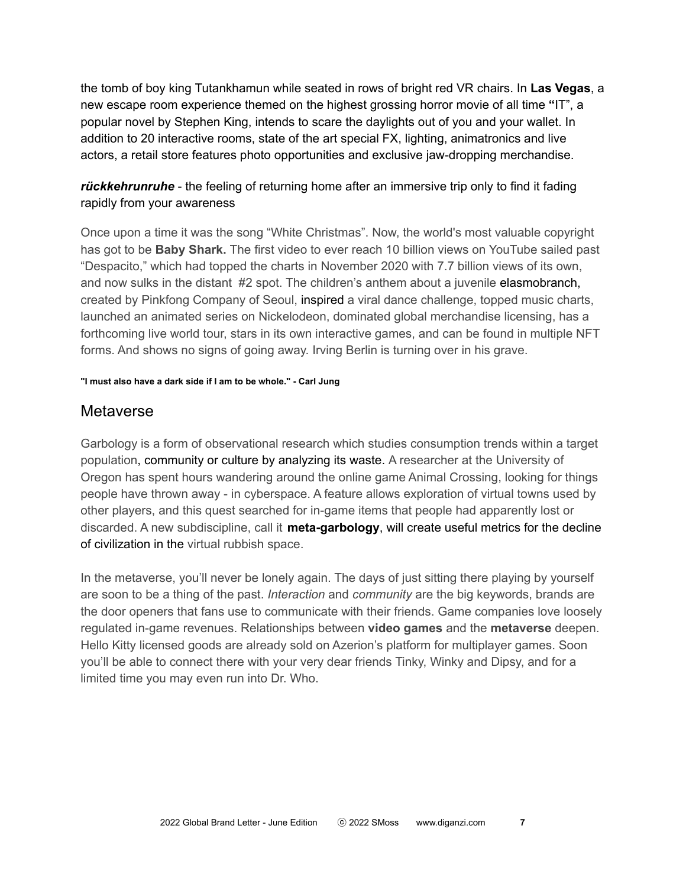the tomb of boy king Tutankhamun while seated in rows of bright red VR chairs. In **Las Vegas**, a new escape room experience themed on the highest grossing horror movie of all time **"**IT", a popular novel by Stephen King, intends to scare the daylights out of you and your wallet. In addition to 20 interactive rooms, state of the art special FX, lighting, animatronics and live actors, a retail store features photo opportunities and exclusive jaw-dropping merchandise.

## *rückkehrunruhe* - the feeling of returning home after an immersive trip only to find it fading rapidly from your awareness

Once upon a time it was the song "White Christmas". Now, the world's most valuable copyright has got to be **Baby Shark.** The first video to ever reach 10 billion views on YouTube sailed past "Despacito," which had topped the charts in November 2020 with 7.7 billion views of its own, and now sulks in the distant #2 spot. The children's anthem about a juvenile elasmobranch, created by Pinkfong Company of Seoul, inspired a viral dance challenge, topped music charts, launched an animated series on Nickelodeon, dominated global merchandise licensing, has a forthcoming live world tour, stars in its own interactive games, and can be found in multiple NFT forms. And shows no signs of going away. Irving Berlin is turning over in his grave.

#### **"I must also have a dark side if I am to be whole." - Carl Jung**

## Metaverse

Garbology is a form of observational research which studies consumption trends within a target population, community or culture by analyzing its waste. A researcher at the University of Oregon has spent hours wandering around the online game Animal Crossing, looking for things people have thrown away - in cyberspace. A feature allows exploration of virtual towns used by other players, and this quest searched for in-game items that people had apparently lost or discarded. A new subdiscipline, call it **meta-garbology**, will create useful metrics for the decline of civilization in the virtual rubbish space.

In the metaverse, you'll never be lonely again. The days of just sitting there playing by yourself are soon to be a thing of the past. *Interaction* and *community* are the big keywords, brands are the door openers that fans use to communicate with their friends. Game companies love loosely regulated in-game revenues. Relationships between **video games** and the **metaverse** deepen. Hello Kitty licensed goods are already sold on Azerion's platform for multiplayer games. Soon you'll be able to connect there with your very dear friends Tinky, Winky and Dipsy, and for a limited time you may even run into Dr. Who.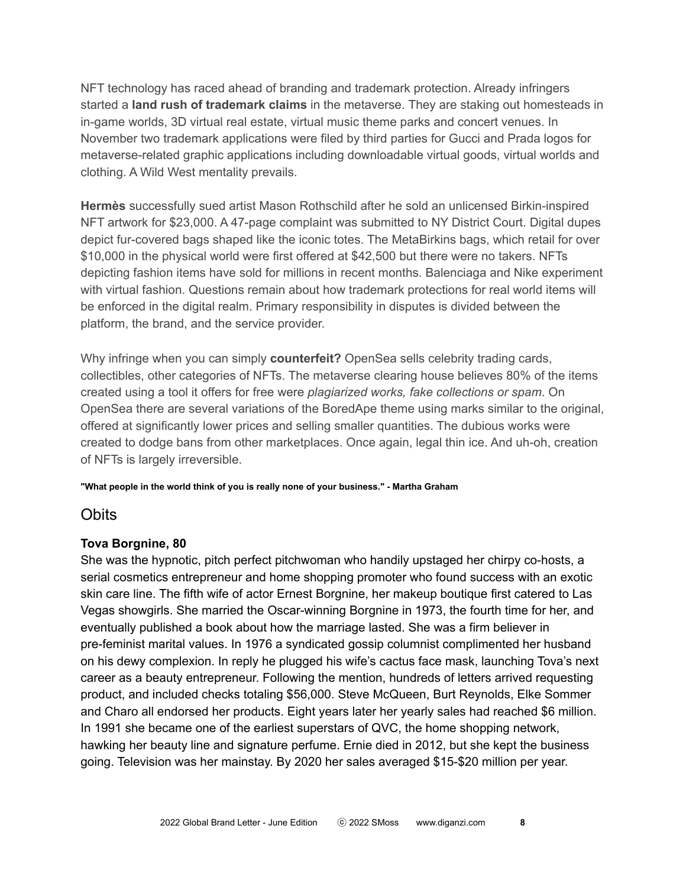NFT technology has raced ahead of branding and trademark protection. Already infringers started a **land rush of trademark claims** in the metaverse. They are staking out homesteads in in-game worlds, 3D virtual real estate, virtual music theme parks and concert venues. In November two trademark applications were filed by third parties for Gucci and Prada logos for metaverse-related graphic applications including downloadable virtual goods, virtual worlds and clothing. A Wild West mentality prevails.

**Hermès** successfully sued artist Mason Rothschild after he sold an unlicensed Birkin-inspired NFT artwork for \$23,000. A 47-page complaint was submitted to NY District Court. Digital dupes depict fur-covered bags shaped like the iconic totes. The MetaBirkins bags, which retail for over \$10,000 in the physical world were first offered at \$42,500 but there were no takers. NFTs depicting fashion items have sold for millions in recent months. Balenciaga and Nike experiment with virtual fashion. Questions remain about how trademark protections for real world items will be enforced in the digital realm. Primary responsibility in disputes is divided between the platform, the brand, and the service provider.

Why infringe when you can simply **counterfeit?** OpenSea sells celebrity trading cards, collectibles, other categories of NFTs. The metaverse clearing house believes 80% of the items created using a tool it offers for free were *plagiarized works, fake collections or spam*. On OpenSea there are several variations of the BoredApe theme using marks similar to the original, offered at significantly lower prices and selling smaller quantities. The dubious works were created to dodge bans from other marketplaces. Once again, legal thin ice. And uh-oh, creation of NFTs is largely irreversible.

#### **"What people in the world think of you is really none of your business." - Martha Graham**

### **Obits**

### **Tova Borgnine, 80**

She was the hypnotic, pitch perfect pitchwoman who handily upstaged her chirpy co-hosts, a serial cosmetics entrepreneur and home shopping promoter who found success with an exotic skin care line. The fifth wife of actor Ernest Borgnine, her makeup boutique first catered to Las Vegas showgirls. She married the Oscar-winning Borgnine in 1973, the fourth time for her, and eventually published a book about how the marriage lasted. She was a firm believer in pre-feminist marital values. In 1976 a syndicated gossip columnist complimented her husband on his dewy complexion. In reply he plugged his wife's cactus face mask, launching Tova's next career as a beauty entrepreneur. Following the mention, hundreds of letters arrived requesting product, and included checks totaling \$56,000. Steve McQueen, Burt Reynolds, Elke Sommer and Charo all endorsed her products. Eight years later her yearly sales had reached \$6 million. In 1991 she became one of the earliest superstars of QVC, the home shopping network, hawking her beauty line and signature perfume. Ernie died in 2012, but she kept the business going. Television was her mainstay. By 2020 her sales averaged \$15-\$20 million per year.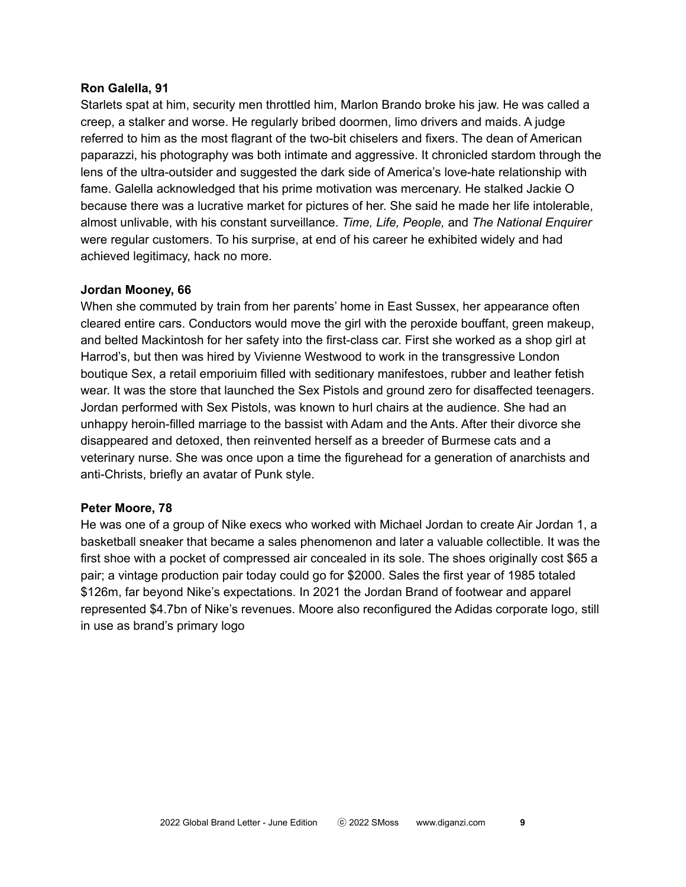#### **Ron Galella, 91**

Starlets spat at him, security men throttled him, Marlon Brando broke his jaw. He was called a creep, a stalker and worse. He regularly bribed doormen, limo drivers and maids. A judge referred to him as the most flagrant of the two-bit chiselers and fixers. The dean of American paparazzi, his photography was both intimate and aggressive. It chronicled stardom through the lens of the ultra-outsider and suggested the dark side of America's love-hate relationship with fame. Galella acknowledged that his prime motivation was mercenary. He stalked Jackie O because there was a lucrative market for pictures of her. She said he made her life intolerable, almost unlivable, with his constant surveillance. *Time, Life, People,* and *The National Enquirer* were regular customers. To his surprise, at end of his career he exhibited widely and had achieved legitimacy, hack no more.

#### **Jordan Mooney, 66**

When she commuted by train from her parents' home in East Sussex, her appearance often cleared entire cars. Conductors would move the girl with the peroxide bouffant, green makeup, and belted Mackintosh for her safety into the first-class car. First she worked as a shop girl at Harrod's, but then was hired by Vivienne Westwood to work in the transgressive London boutique Sex, a retail emporiuim filled with seditionary manifestoes, rubber and leather fetish wear. It was the store that launched the Sex Pistols and ground zero for disaffected teenagers. Jordan performed with Sex Pistols, was known to hurl chairs at the audience. She had an unhappy heroin-filled marriage to the bassist with Adam and the Ants. After their divorce she disappeared and detoxed, then reinvented herself as a breeder of Burmese cats and a veterinary nurse. She was once upon a time the figurehead for a generation of anarchists and anti-Christs, briefly an avatar of Punk style.

#### **Peter Moore, 78**

He was one of a group of Nike execs who worked with Michael Jordan to create Air Jordan 1, a basketball sneaker that became a sales phenomenon and later a valuable collectible. It was the first shoe with a pocket of compressed air concealed in its sole. The shoes originally cost \$65 a pair; a vintage production pair today could go for \$2000. Sales the first year of 1985 totaled \$126m, far beyond Nike's expectations. In 2021 the Jordan Brand of footwear and apparel represented \$4.7bn of Nike's revenues. Moore also reconfigured the Adidas corporate logo, still in use as brand's primary logo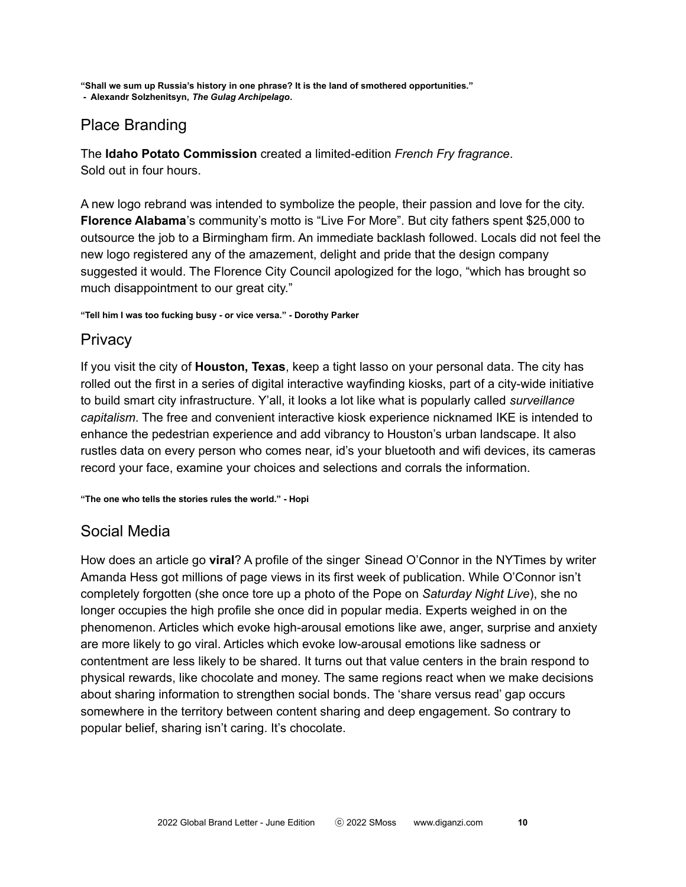**"Shall we sum up Russia's history in one phrase? It is the land of smothered opportunities."**

**- Alexandr Solzhenitsyn,** *The Gulag Archipelago***.**

# Place Branding

The **Idaho Potato Commission** created a limited-edition *French Fry fragrance*. Sold out in four hours.

A new logo rebrand was intended to symbolize the people, their passion and love for the city. **Florence Alabama**'s community's motto is "Live For More". But city fathers spent \$25,000 to outsource the job to a Birmingham firm. An immediate backlash followed. Locals did not feel the new logo registered any of the amazement, delight and pride that the design company suggested it would. The Florence City Council apologized for the logo, "which has brought so much disappointment to our great city."

**"Tell him I was too fucking busy - or vice versa." - Dorothy Parker**

# **Privacy**

If you visit the city of **Houston, Texas**, keep a tight lasso on your personal data. The city has rolled out the first in a series of digital interactive wayfinding kiosks, part of a city-wide initiative to build smart city infrastructure. Y'all, it looks a lot like what is popularly called *surveillance capitalism*. The free and convenient interactive kiosk experience nicknamed IKE is intended to enhance the pedestrian experience and add vibrancy to Houston's urban landscape. It also rustles data on every person who comes near, id's your bluetooth and wifi devices, its cameras record your face, examine your choices and selections and corrals the information.

**"The one who tells the stories rules the world." - Hopi**

# Social Media

How does an article go **viral**? A profile of the singer Sinead O'Connor in the NYTimes by writer Amanda Hess got millions of page views in its first week of publication. While O'Connor isn't completely forgotten (she once tore up a photo of the Pope on *Saturday Night Live*), she no longer occupies the high profile she once did in popular media. Experts weighed in on the phenomenon. Articles which evoke high-arousal emotions like awe, anger, surprise and anxiety are more likely to go viral. Articles which evoke low-arousal emotions like sadness or contentment are less likely to be shared. It turns out that value centers in the brain respond to physical rewards, like chocolate and money. The same regions react when we make decisions about sharing information to strengthen social bonds. The 'share versus read' gap occurs somewhere in the territory between content sharing and deep engagement. So contrary to popular belief, sharing isn't caring. It's chocolate.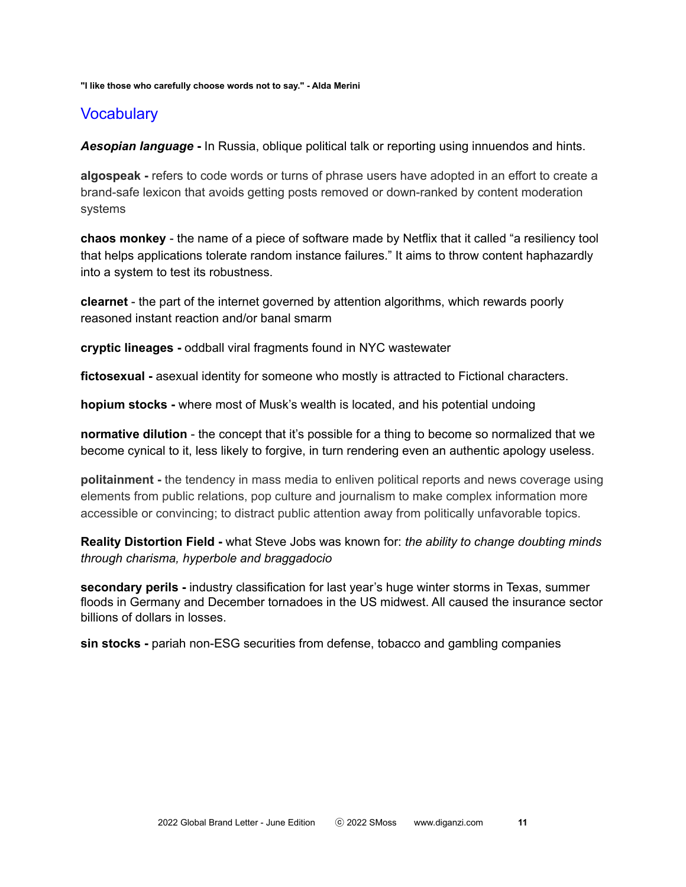#### **"I like those who carefully choose words not to say." - Alda Merini**

### **Vocabulary**

*Aesopian language* **-** In Russia, oblique political talk or reporting using innuendos and hints.

**algospeak -** refers to code words or turns of phrase users have adopted in an effort to create a brand-safe lexicon that avoids getting posts removed or down-ranked by content moderation systems

**chaos monkey** - the name of a piece of software made by Netflix that it called "a resiliency tool that helps applications tolerate random instance failures." It aims to throw content haphazardly into a system to test its robustness.

**clearnet** - the part of the internet governed by attention algorithms, which rewards poorly reasoned instant reaction and/or banal smarm

**cryptic lineages -** oddball viral fragments found in NYC wastewater

**fictosexual -** asexual identity for someone who mostly is attracted to Fictional characters.

**hopium stocks -** where most of Musk's wealth is located, and his potential undoing

**normative dilution** - the concept that it's possible for a thing to become so normalized that we become cynical to it, less likely to forgive, in turn rendering even an authentic apology useless.

**politainment -** the tendency in mass media to enliven political reports and news coverage using elements from public relations, pop culture and journalism to make complex information more accessible or convincing; to distract public attention away from politically unfavorable topics.

**Reality Distortion Field -** what Steve Jobs was known for: *the ability to change doubting minds through charisma, hyperbole and braggadocio*

**secondary perils -** industry classification for last year's huge winter storms in Texas, summer floods in Germany and December tornadoes in the US midwest. All caused the insurance sector billions of dollars in losses.

**sin stocks -** pariah non-ESG securities from defense, tobacco and gambling companies